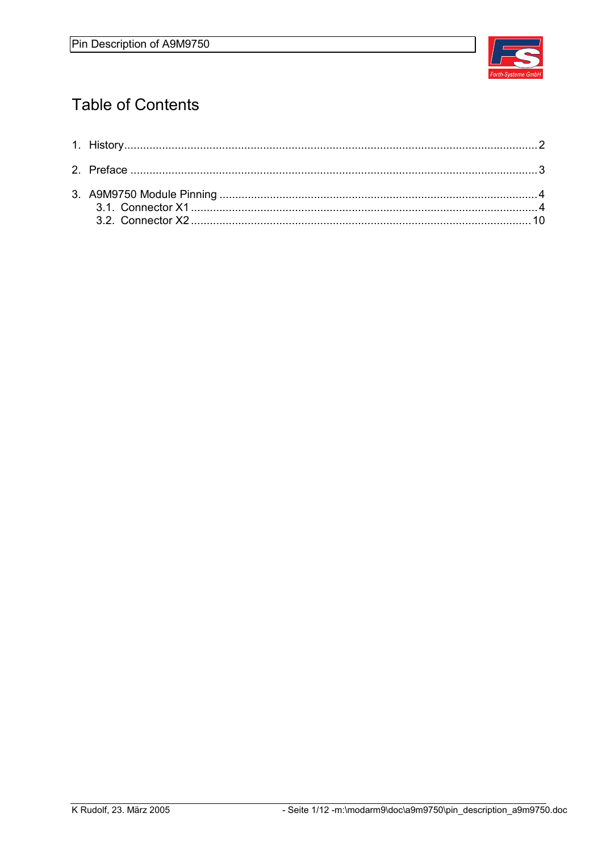

# **Table of Contents**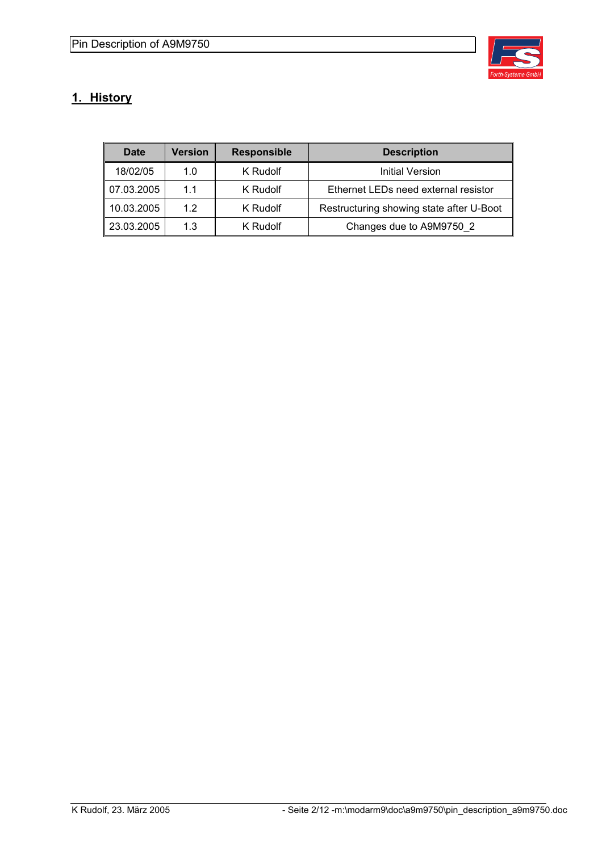

## **1. History**

| Date       | Version | <b>Responsible</b> | <b>Description</b>                       |
|------------|---------|--------------------|------------------------------------------|
| 18/02/05   | 1.0     | K Rudolf           | Initial Version                          |
| 07.03.2005 | 1.1     | K Rudolf           | Ethernet LEDs need external resistor     |
| 10.03.2005 | 12      | K Rudolf           | Restructuring showing state after U-Boot |
| 23.03.2005 | 1.3     | K Rudolf           | Changes due to A9M9750 2                 |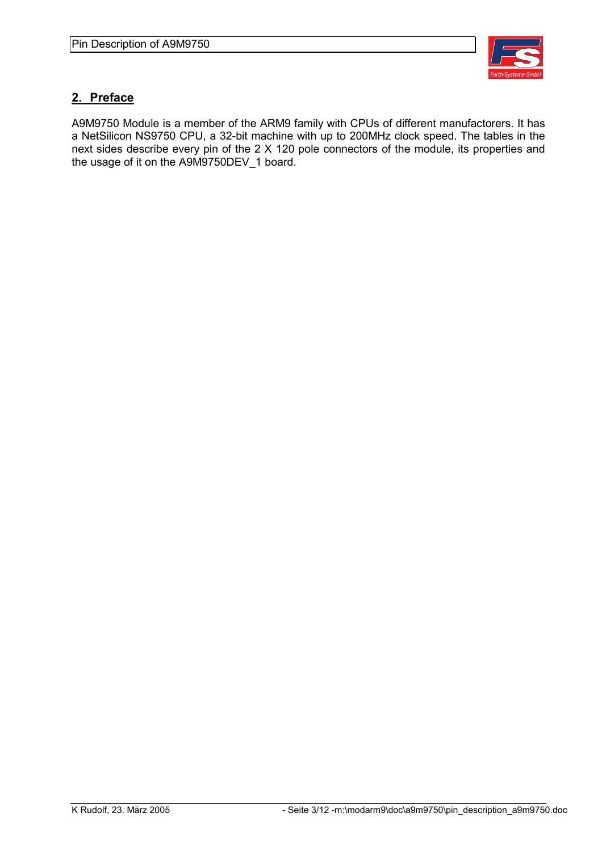

#### **2. Preface**

A9M9750 Module is a member of the ARM9 family with CPUs of different manufactorers. It has a NetSilicon NS9750 CPU, a 32-bit machine with up to 200MHz clock speed. The tables in the next sides describe every pin of the 2 X 120 pole connectors of the module, its properties and the usage of it on the A9M9750DEV\_1 board.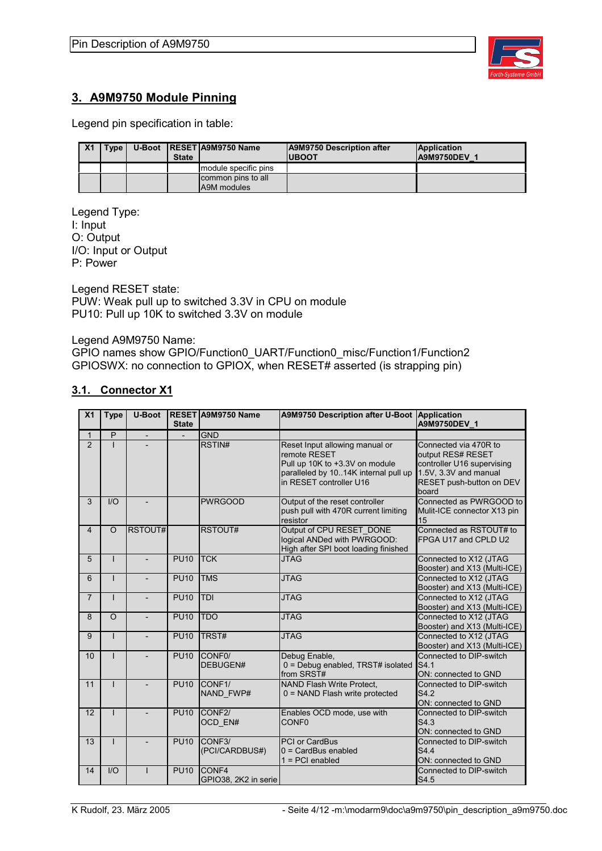

#### **3. A9M9750 Module Pinning**

Legend pin specification in table:

| X <sub>1</sub> | Type | <b>State</b> | U-Boot   RESET   A9M9750 Name     | A9M9750 Description after<br><b>UBOOT</b> | <b>Application</b><br><b>A9M9750DEV 1</b> |
|----------------|------|--------------|-----------------------------------|-------------------------------------------|-------------------------------------------|
|                |      |              | module specific pins              |                                           |                                           |
|                |      |              | common pins to all<br>A9M modules |                                           |                                           |

Legend Type: I: Input O: Output I/O: Input or Output P: Power

Legend RESET state: PUW: Weak pull up to switched 3.3V in CPU on module PU10: Pull up 10K to switched 3.3V on module

Legend A9M9750 Name:

GPIO names show GPIO/Function0\_UART/Function0\_misc/Function1/Function2 GPIOSWX: no connection to GPIOX, when RESET# asserted (is strapping pin)

#### **3.1. Connector X1**

| X <sub>1</sub> | <b>Type</b> | <b>U-Boot</b>            | <b>State</b> | RESET A9M9750 Name                    | <b>A9M9750 Description after U-Boot</b>                                                                                                             | Application<br>A9M9750DEV 1                                                                                                            |
|----------------|-------------|--------------------------|--------------|---------------------------------------|-----------------------------------------------------------------------------------------------------------------------------------------------------|----------------------------------------------------------------------------------------------------------------------------------------|
| 1              | P           | $\overline{\phantom{0}}$ |              | <b>GND</b>                            |                                                                                                                                                     |                                                                                                                                        |
| $\overline{2}$ |             |                          |              | RSTIN#                                | Reset Input allowing manual or<br>remote RESET<br>Pull up 10K to +3.3V on module<br>paralleled by 1014K internal pull up<br>in RESET controller U16 | Connected via 470R to<br>output RES# RESET<br>controller U16 supervising<br>1.5V, 3.3V and manual<br>RESET push-button on DEV<br>board |
| 3              | I/O         |                          |              | <b>PWRGOOD</b>                        | Output of the reset controller<br>push pull with 470R current limiting<br>resistor                                                                  | Connected as PWRGOOD to<br>Mulit-ICE connector X13 pin<br>15                                                                           |
| $\overline{4}$ | $\Omega$    | RSTOUT#                  |              | RSTOUT#                               | Output of CPU RESET_DONE<br>logical ANDed with PWRGOOD:<br>High after SPI boot loading finished                                                     | Connected as RSTOUT# to<br>FPGA U17 and CPLD U2                                                                                        |
| 5              |             |                          | <b>PU10</b>  | <b>TCK</b>                            | <b>JTAG</b>                                                                                                                                         | Connected to X12 (JTAG<br>Booster) and X13 (Multi-ICE)                                                                                 |
| 6              |             |                          | <b>PU10</b>  | <b>TMS</b>                            | <b>JTAG</b>                                                                                                                                         | Connected to X12 (JTAG<br>Booster) and X13 (Multi-ICE)                                                                                 |
| $\overline{7}$ |             |                          | <b>PU10</b>  | <b>TDI</b>                            | <b>JTAG</b>                                                                                                                                         | Connected to X12 (JTAG<br>Booster) and X13 (Multi-ICE)                                                                                 |
| 8              | $\Omega$    | $\overline{a}$           | <b>PU10</b>  | <b>TDO</b>                            | <b>JTAG</b>                                                                                                                                         | Connected to X12 (JTAG<br>Booster) and X13 (Multi-ICE)                                                                                 |
| 9              |             |                          | <b>PU10</b>  | TRST#                                 | <b>JTAG</b>                                                                                                                                         | Connected to X12 (JTAG<br>Booster) and X13 (Multi-ICE)                                                                                 |
| 10             |             |                          | <b>PU10</b>  | CONF <sub>0</sub><br>DEBUGEN#         | Debug Enable,<br>0 = Debug enabled, TRST# isolated<br>from SRST#                                                                                    | Connected to DIP-switch<br>S <sub>4</sub> 1<br>ON: connected to GND                                                                    |
| 11             |             |                          | <b>PU10</b>  | CONF <sub>1</sub> /<br>NAND FWP#      | NAND Flash Write Protect,<br>0 = NAND Flash write protected                                                                                         | Connected to DIP-switch<br>S <sub>42</sub><br>ON: connected to GND                                                                     |
| 12             |             |                          | <b>PU10</b>  | CONF <sub>2</sub><br>OCD EN#          | Enables OCD mode, use with<br>CONF <sub>0</sub>                                                                                                     | Connected to DIP-switch<br>S4.3<br>ON: connected to GND                                                                                |
| 13             |             |                          | <b>PU10</b>  | CONF <sub>3</sub> /<br>(PCI/CARDBUS#) | <b>PCI or CardBus</b><br>$0 = CardBus$ enabled<br>$1 = PCI$ enabled                                                                                 | Connected to DIP-switch<br>S <sub>4.4</sub><br>ON: connected to GND                                                                    |
| 14             | I/O         |                          | <b>PU10</b>  | CONF4<br>GPIO38, 2K2 in serie         |                                                                                                                                                     | Connected to DIP-switch<br>S4.5                                                                                                        |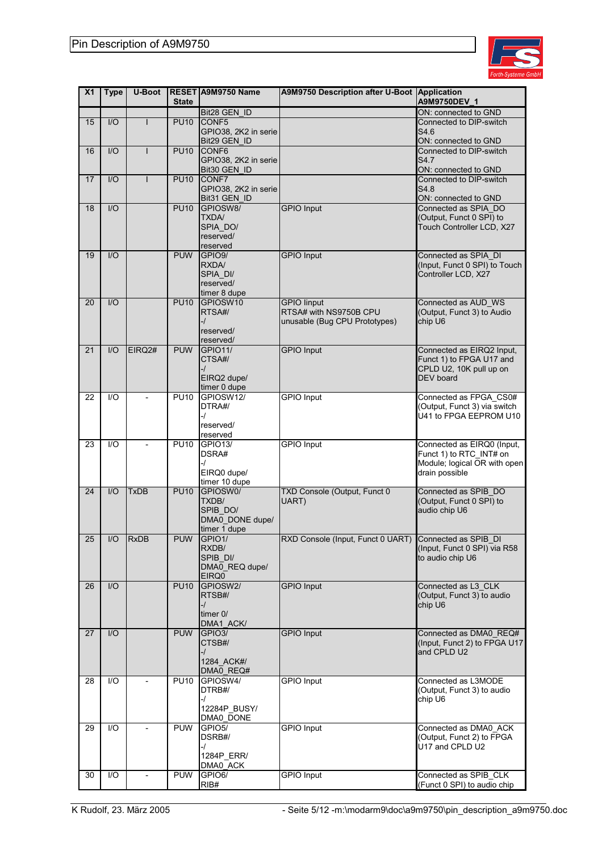

| X <sub>1</sub> | <b>Type</b> | <b>U-Boot</b>            | <b>State</b>      | RESET A9M9750 Name                   | A9M9750 Description after U-Boot      | Application<br>A9M9750DEV 1                          |
|----------------|-------------|--------------------------|-------------------|--------------------------------------|---------------------------------------|------------------------------------------------------|
|                |             |                          |                   | Bit28 GEN_ID                         |                                       | ON: connected to GND                                 |
| 15             | I/O         |                          | <b>PU10</b>       | CONF5                                |                                       | Connected to DIP-switch                              |
|                |             |                          |                   | GPIO38, 2K2 in serie<br>Bit29 GEN ID |                                       | S4.6<br>ON: connected to GND                         |
| 16             | I/O         | T                        | <b>PU10</b>       | CONF6                                |                                       | Connected to DIP-switch                              |
|                |             |                          |                   | GPIO38, 2K2 in serie                 |                                       | S4.7                                                 |
|                |             |                          |                   | Bit30 GEN ID                         |                                       | ON: connected to GND                                 |
| 17             | I/O         |                          | <b>PU10</b>       | CONF7                                |                                       | Connected to DIP-switch                              |
|                |             |                          |                   | GPIO38, 2K2 in serie                 |                                       | S4.8                                                 |
|                |             |                          |                   | Bit31 GEN_ID                         |                                       | ON: connected to GND                                 |
| 18             | I/O         |                          | <b>PU10</b>       | GPIOSW8/<br><b>TXDA/</b>             | <b>GPIO</b> Input                     | Connected as SPIA DO<br>(Output, Funct 0 SPI) to     |
|                |             |                          |                   | SPIA_DO/                             |                                       | Touch Controller LCD, X27                            |
|                |             |                          |                   | reserved/                            |                                       |                                                      |
|                |             |                          |                   | reserved                             |                                       |                                                      |
| 19             | I/O         |                          | <b>PUW</b>        | GPIO <sub>9</sub>                    | <b>GPIO</b> Input                     | Connected as SPIA_DI                                 |
|                |             |                          |                   | RXDA/<br>SPIA_DI/                    |                                       | (Input, Funct 0 SPI) to Touch<br>Controller LCD, X27 |
|                |             |                          |                   | reserved/                            |                                       |                                                      |
|                |             |                          |                   | timer 8 dupe                         |                                       |                                                      |
| 20             | I/O         |                          | <b>PU10</b>       | GPIOSW10                             | <b>GPIO linput</b>                    | Connected as AUD_WS                                  |
|                |             |                          |                   | RTSA#/                               | RTSA# with NS9750B CPU                | (Output, Funct 3) to Audio                           |
|                |             |                          |                   | -/<br>reserved/                      | unusable (Bug CPU Prototypes)         | chip U6                                              |
|                |             |                          |                   | reserved/                            |                                       |                                                      |
| 21             | I/O         | EIRQ2#                   | <b>PUW</b>        | <b>GPIO11/</b>                       | <b>GPIO Input</b>                     | Connected as EIRQ2 Input,                            |
|                |             |                          |                   | CTSA#/                               |                                       | Funct 1) to FPGA U17 and                             |
|                |             |                          |                   | -1                                   |                                       | CPLD U2, 10K pull up on                              |
|                |             |                          |                   | EIRQ2 dupe/                          |                                       | <b>DEV</b> board                                     |
| 22             | 1/O         |                          | <b>PU10</b>       | timer 0 dupe<br>GPIOSW12/            | <b>GPIO</b> Input                     | Connected as FPGA_CS0#                               |
|                |             |                          |                   | DTRA#/                               |                                       | (Output, Funct 3) via switch                         |
|                |             |                          |                   | -1                                   |                                       | U41 to FPGA EEPROM U10                               |
|                |             |                          |                   | reserved/                            |                                       |                                                      |
| 23             | I/O         | $\blacksquare$           | <b>PU10</b>       | reserved<br><b>GPIO13/</b>           | <b>GPIO Input</b>                     | Connected as EIRQ0 (Input,                           |
|                |             |                          |                   | DSRA#                                |                                       | Funct 1) to RTC_INT# on                              |
|                |             |                          |                   | -1                                   |                                       | Module; logical OR with open                         |
|                |             |                          |                   | EIRQ0 dupe/                          |                                       | drain possible                                       |
|                |             |                          |                   | timer 10 dupe                        |                                       |                                                      |
| 24             | I/O         | <b>TxDB</b>              | $P\overline{U10}$ | GPIOSW0/<br>TXDB/                    | TXD Console (Output, Funct 0<br>UART) | Connected as SPIB DO<br>(Output, Funct 0 SPI) to     |
|                |             |                          |                   | SPIB DO/                             |                                       | audio chip U6                                        |
|                |             |                          |                   | DMA0_DONE dupe/                      |                                       |                                                      |
|                |             |                          |                   | timer 1 dupe                         |                                       |                                                      |
| 25             | I/O         | <b>RxDB</b>              | <b>PUW</b>        | GPIO1/                               | RXD Console (Input, Funct 0 UART)     | Connected as SPIB_DI                                 |
|                |             |                          |                   | RXDB/<br>SPIB_DI/                    |                                       | (Input, Funct 0 SPI) via R58<br>to audio chip U6     |
|                |             |                          |                   | DMA0_REQ dupe/                       |                                       |                                                      |
|                |             |                          |                   | EIRQ0                                |                                       |                                                      |
| 26             | 1/O         |                          | <b>PU10</b>       | GPIOSW2/                             | <b>GPIO Input</b>                     | Connected as L3 CLK                                  |
|                |             |                          |                   | RTSB#/<br>-/                         |                                       | (Output, Funct 3) to audio<br>chip U6                |
|                |             |                          |                   | timer $0/$                           |                                       |                                                      |
|                |             |                          |                   | DMA1_ACK/                            |                                       |                                                      |
| 27             | 1/O         |                          | <b>PUW</b>        | GPIO <sub>3</sub> /                  | <b>GPIO Input</b>                     | Connected as DMA0_REQ#                               |
|                |             |                          |                   | CTSB#/                               |                                       | (Input, Funct 2) to FPGA U17                         |
|                |             |                          |                   | -1<br>1284 ACK#/                     |                                       | and CPLD U2                                          |
|                |             |                          |                   | DMA0 REQ#                            |                                       |                                                      |
| 28             | I/O         | $\overline{\phantom{a}}$ | <b>PU10</b>       | GPIOSW4/                             | <b>GPIO Input</b>                     | Connected as L3MODE                                  |
|                |             |                          |                   | DTRB#/                               |                                       | (Output, Funct 3) to audio                           |
|                |             |                          |                   | -1<br>12284P_BUSY/                   |                                       | chip U6                                              |
|                |             |                          |                   | DMA0 DONE                            |                                       |                                                      |
| 29             | I/O         |                          | <b>PUW</b>        | GPIO <sub>5</sub> /                  | <b>GPIO Input</b>                     | Connected as DMA0 ACK                                |
|                |             |                          |                   | DSRB#/                               |                                       | (Output, Funct 2) to FPGA                            |
|                |             |                          |                   | -/                                   |                                       | U17 and CPLD U2                                      |
|                |             |                          |                   | 1284P ERR/<br>DMA0_ACK               |                                       |                                                      |
| 30             | 1/O         |                          | <b>PUW</b>        | GPIO6/                               | <b>GPIO Input</b>                     | Connected as SPIB_CLK                                |
|                |             |                          |                   | RIB#                                 |                                       | (Funct 0 SPI) to audio chip                          |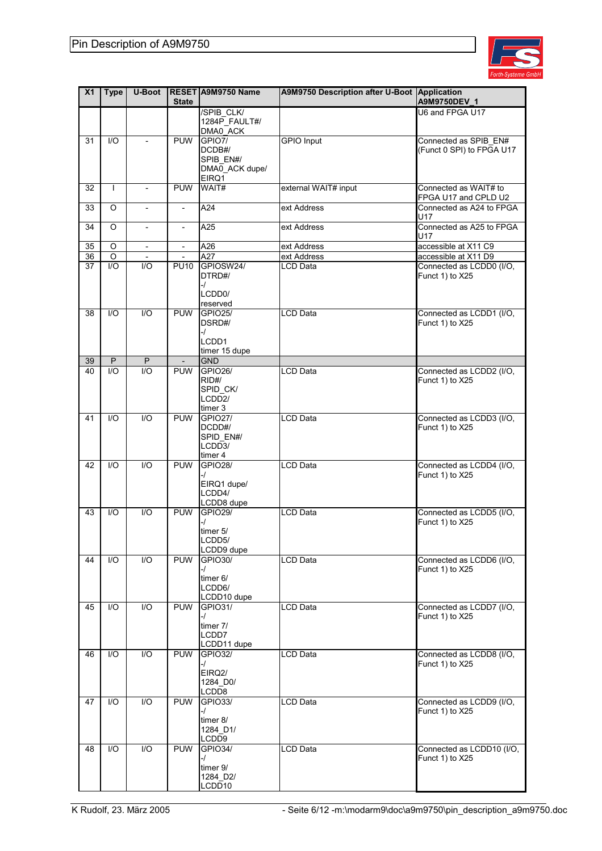

| X <sub>1</sub> | <b>Type</b>  | <b>U-Boot</b>                | <b>State</b>                           | RESET A9M9750 Name           | A9M9750 Description after U-Boot Application | A9M9750DEV_1                                     |
|----------------|--------------|------------------------------|----------------------------------------|------------------------------|----------------------------------------------|--------------------------------------------------|
|                |              |                              |                                        | /SPIB_CLK/                   |                                              | U6 and FPGA U17                                  |
|                |              |                              |                                        | 1284P_FAULT#/<br>DMA0_ACK    |                                              |                                                  |
| 31             | 1/O          |                              | <b>PUW</b>                             | GPIO7/                       | <b>GPIO</b> Input                            | Connected as SPIB_EN#                            |
|                |              |                              |                                        | DCDB#/                       |                                              | (Funct 0 SPI) to FPGA U17                        |
|                |              |                              |                                        | SPIB_EN#/                    |                                              |                                                  |
|                |              |                              |                                        | DMA0_ACK dupe/               |                                              |                                                  |
|                |              |                              |                                        | EIRQ1                        |                                              |                                                  |
| 32             | $\mathsf{I}$ |                              | <b>PUW</b>                             | WAIT#                        | external WAIT# input                         | Connected as WAIT# to                            |
| 33             |              |                              |                                        | A24                          | ext Address                                  | FPGA U17 and CPLD U2<br>Connected as A24 to FPGA |
|                | O            | $\blacksquare$               | $\overline{\phantom{a}}$               |                              |                                              | U17                                              |
| 34             | O            | $\qquad \qquad \blacksquare$ | $\overline{\phantom{a}}$               | A25                          | ext Address                                  | Connected as A25 to FPGA                         |
|                |              |                              |                                        |                              |                                              | U17                                              |
| 35             | O            | $\overline{\phantom{a}}$     | $\overline{\phantom{a}}$               | A26                          | ext Address                                  | accessible at X11 C9                             |
| 36             | $\circ$      | $\overline{\phantom{a}}$     | $\overline{\phantom{a}}$               | A27                          | ext Address                                  | accessible at X11 D9                             |
| 37             | I/O          | 1/O                          | <b>PU10</b>                            | GPIOSW24/                    | LCD Data                                     | Connected as LCDD0 (I/O,                         |
|                |              |                              |                                        | DTRD#/                       |                                              | Funct 1) to X25                                  |
|                |              |                              |                                        | -1<br>LCDD <sub>0</sub> /    |                                              |                                                  |
|                |              |                              |                                        | reserved                     |                                              |                                                  |
| 38             | 1/O          | $\overline{1/O}$             | <b>PUW</b>                             | <b>GPIO25/</b>               | <b>LCD Data</b>                              | Connected as LCDD1 (I/O,                         |
|                |              |                              |                                        | DSRD#/                       |                                              | Funct 1) to X25                                  |
|                |              |                              |                                        | -/                           |                                              |                                                  |
|                |              |                              |                                        | LCDD1                        |                                              |                                                  |
|                | $\mathsf{P}$ |                              |                                        | timer 15 dupe<br><b>GND</b>  |                                              |                                                  |
| 39<br>40       | 1/O          | $\sf P$<br>I/O               | $\overline{\phantom{a}}$<br><b>PUW</b> | <b>GPIO26/</b>               | <b>LCD Data</b>                              | Connected as LCDD2 (I/O,                         |
|                |              |                              |                                        | RID#/                        |                                              | Funct 1) to X25                                  |
|                |              |                              |                                        | SPID_CK/                     |                                              |                                                  |
|                |              |                              |                                        | LCDD <sub>2</sub> /          |                                              |                                                  |
|                |              |                              |                                        | timer 3                      |                                              |                                                  |
| 41             | I/O          | 1/O                          | <b>PUW</b>                             | <b>GPIO27/</b>               | <b>LCD Data</b>                              | Connected as LCDD3 (I/O,                         |
|                |              |                              |                                        | DCDD#/<br>SPID_EN#/          |                                              | Funct 1) to X25                                  |
|                |              |                              |                                        | LCD <sub>D3</sub> /          |                                              |                                                  |
|                |              |                              |                                        | timer 4                      |                                              |                                                  |
| 42             | 1/O          | I/O                          | <b>PUW</b>                             | <b>GPIO28/</b>               | LCD Data                                     | Connected as LCDD4 (I/O,                         |
|                |              |                              |                                        | -/                           |                                              | Funct 1) to X25                                  |
|                |              |                              |                                        | EIRQ1 dupe/<br>LCDD4/        |                                              |                                                  |
|                |              |                              |                                        | LCDD8 dupe                   |                                              |                                                  |
| 43             | 1/O          | I/O                          | <b>PUW</b>                             | <b>GPIO29/</b>               | <b>LCD Data</b>                              | Connected as LCDD5 (I/O,                         |
|                |              |                              |                                        | -/                           |                                              | Funct 1) to X25                                  |
|                |              |                              |                                        | timer 5/                     |                                              |                                                  |
|                |              |                              |                                        | LCDD5/                       |                                              |                                                  |
| 44             | I/O          | I/O                          | <b>PUW</b>                             | LCDD9 dupe<br><b>GPIO30/</b> | LCD Data                                     | Connected as LCDD6 (I/O,                         |
|                |              |                              |                                        | -/                           |                                              | Funct 1) to X25                                  |
|                |              |                              |                                        | timer 6/                     |                                              |                                                  |
|                |              |                              |                                        | LCDD6/                       |                                              |                                                  |
|                |              |                              |                                        | LCDD10 dupe                  |                                              |                                                  |
| 45             | I/O          | $\overline{1/O}$             | <b>PUW</b>                             | GPIO31/<br>-/                | LCD Data                                     | Connected as LCDD7 (I/O,<br>Funct 1) to X25      |
|                |              |                              |                                        | timer 7/                     |                                              |                                                  |
|                |              |                              |                                        | LCDD7                        |                                              |                                                  |
|                |              |                              |                                        | LCDD11 dupe                  |                                              |                                                  |
| 46             | 1/O          | I/O                          | <b>PUW</b>                             | GPIO32/                      | LCD Data                                     | Connected as LCDD8 (I/O,                         |
|                |              |                              |                                        | -/                           |                                              | Funct 1) to X25                                  |
|                |              |                              |                                        | EIRQ2/<br>1284 DO/           |                                              |                                                  |
|                |              |                              |                                        | LCDD8                        |                                              |                                                  |
| 47             | I/O          | I/O                          | <b>PUW</b>                             | <b>GPIO33/</b>               | LCD Data                                     | Connected as LCDD9 (I/O,                         |
|                |              |                              |                                        | -/                           |                                              | Funct 1) to X25                                  |
|                |              |                              |                                        | timer 8/                     |                                              |                                                  |
|                |              |                              |                                        | 1284_D1/<br>LCDD9            |                                              |                                                  |
| 48             | 1/O          | I/O                          | <b>PUW</b>                             | <b>GPIO34/</b>               | LCD Data                                     | Connected as LCDD10 (I/O,                        |
|                |              |                              |                                        | -/                           |                                              | Funct 1) to X25                                  |
|                |              |                              |                                        | timer 9/                     |                                              |                                                  |
|                |              |                              |                                        | 1284_D2/                     |                                              |                                                  |
|                |              |                              |                                        | LCDD10                       |                                              |                                                  |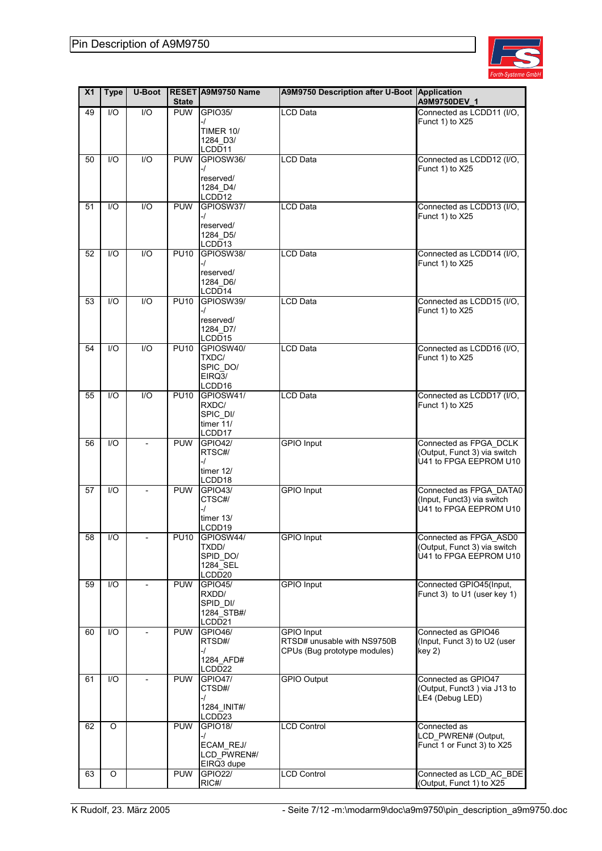

| X <sub>1</sub> | <b>Type</b>     | U-Boot           | <b>State</b> | RESET A9M9750 Name                                          | A9M9750 Description after U-Boot Application                                     | A9M9750DEV 1                                                                     |
|----------------|-----------------|------------------|--------------|-------------------------------------------------------------|----------------------------------------------------------------------------------|----------------------------------------------------------------------------------|
| 49             | $\overline{10}$ | $\overline{1/O}$ | <b>PUW</b>   | <b>GPIO35/</b>                                              | <b>LCD Data</b>                                                                  | Connected as LCDD11 (I/O,                                                        |
|                |                 |                  |              | -1<br><b>TIMER 10/</b><br>1284_D3/                          |                                                                                  | Funct 1) to X25                                                                  |
| 50             | 1/O             | I/O              | <b>PUW</b>   | LCDD11<br>GPIOSW36/                                         | LCD Data                                                                         | Connected as LCDD12 (I/O,                                                        |
|                |                 |                  |              | -1<br>reserved/<br>1284_D4/<br>LCDD12                       |                                                                                  | Funct 1) to X25                                                                  |
| 51             | 1/O             | 1/O              | <b>PUW</b>   | GPIOSW37/                                                   | <b>LCD Data</b>                                                                  | Connected as LCDD13 (I/O,                                                        |
|                |                 |                  |              | -1<br>reserved/<br>1284_D5/<br>LCDD13                       |                                                                                  | Funct 1) to X25                                                                  |
| 52             | 1/O             | 1/O              | <b>PU10</b>  | GPIOSW38/                                                   | <b>LCD Data</b>                                                                  | Connected as LCDD14 (I/O,                                                        |
|                |                 |                  |              | -1<br>reserved/<br>1284_D6/<br>LCDD14                       |                                                                                  | Funct 1) to X25                                                                  |
| 53             | 1/O             | 1/O              | <b>PU10</b>  | GPIOSW39/<br>$-I$<br>reserved/<br>1284_D7/<br>LCDD15        | LCD Data                                                                         | Connected as LCDD15 (I/O,<br>Funct 1) to X25                                     |
| 54             | I/O             | 1/O              | <b>PU10</b>  | GPIOSW40/<br>TXDC/<br>SPIC_DO/<br>EIRQ3/<br>LCDD16          | <b>LCD Data</b>                                                                  | Connected as LCDD16 (I/O,<br>Funct 1) to X25                                     |
| 55             | 1/O             | $\overline{1/O}$ | <b>PU10</b>  | GPIOSW41/<br>RXDC/<br>SPIC_DI/<br>timer 11/<br>LCDD17       | <b>LCD Data</b>                                                                  | Connected as LCDD17 (I/O,<br>Funct 1) to X25                                     |
| 56             | 1/O             |                  | <b>PUW</b>   | <b>GPIO42/</b>                                              | <b>GPIO</b> Input                                                                | Connected as FPGA_DCLK                                                           |
|                |                 |                  |              | RTSC#/<br>-/<br>timer $12/$<br>LCDD18                       |                                                                                  | (Output, Funct 3) via switch<br>U41 to FPGA EEPROM U10                           |
| 57             | I/O             |                  | <b>PUW</b>   | <b>GPIO43/</b>                                              | <b>GPIO</b> Input                                                                | Connected as FPGA DATA0                                                          |
|                |                 |                  |              | CTSC#/<br>-1<br>timer 13/<br>LCDD19                         |                                                                                  | (Input, Funct3) via switch<br>U41 to FPGA EEPROM U10                             |
| 58             | I/O             |                  |              | PU10 GPIOSW44/<br>TXDD/<br>SPID DO/<br>1284_SEL<br>LCDD20   | <b>GPIO</b> Input                                                                | Connected as FPGA_ASD0<br>(Output, Funct 3) via switch<br>U41 to FPGA EEPROM U10 |
| 59             | I/O             |                  | <b>PUW</b>   | <b>GPIO45/</b><br>RXDD/<br>SPID_DI/<br>1284_STB#/<br>LCDD21 | <b>GPIO Input</b>                                                                | Connected GPIO45(Input,<br>Funct 3) to U1 (user key 1)                           |
| 60             | I/O             |                  | <b>PUW</b>   | <b>GPIO46/</b><br>RTSD#/<br>-/<br>1284 AFD#<br>LCDD22       | <b>GPIO Input</b><br>RTSD# unusable with NS9750B<br>CPUs (Bug prototype modules) | Connected as GPIO46<br>(Input, Funct 3) to U2 (user<br>key 2)                    |
| 61             | I/O             |                  | <b>PUW</b>   | <b>GPIO47/</b><br>CTSD#/<br>-1<br>1284 INIT#/<br>LCDD23     | <b>GPIO Output</b>                                                               | Connected as GPIO47<br>(Output, Funct3) via J13 to<br>LE4 (Debug LED)            |
| 62             | O               |                  | <b>PUW</b>   | GPIO18/                                                     | <b>LCD Control</b>                                                               | Connected as                                                                     |
|                |                 |                  |              | -1<br>ECAM REJ/<br>LCD_PWREN#/<br>EIRQ3 dupe                |                                                                                  | LCD_PWREN# (Output,<br>Funct 1 or Funct 3) to X25                                |
| 63             | O               |                  | <b>PUW</b>   | <b>GPIO22/</b>                                              | <b>LCD Control</b>                                                               | Connected as LCD_AC_BDE                                                          |
|                |                 |                  |              | RIC#/                                                       |                                                                                  | (Output, Funct 1) to X25                                                         |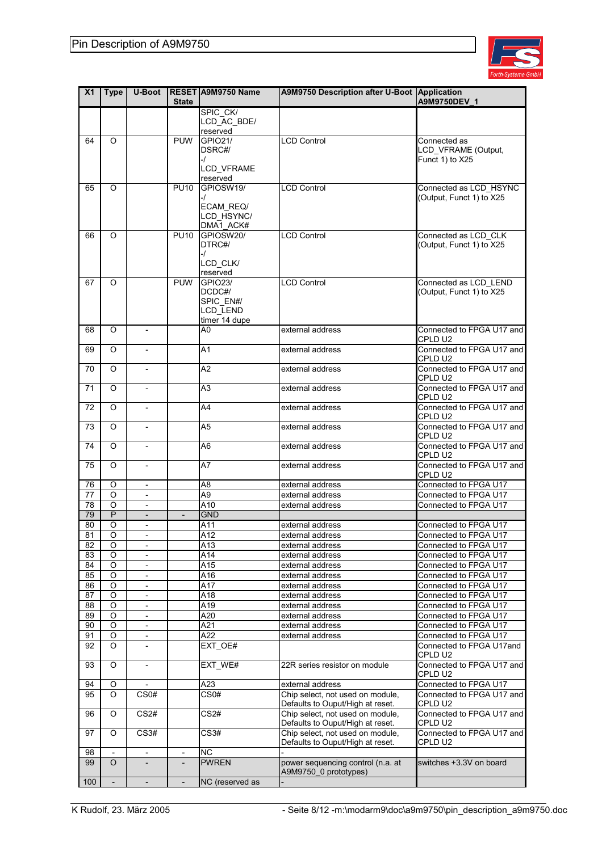

| X <sub>1</sub>  | <b>Type</b>              | <b>U-Boot</b>            | <b>State</b>             | RESET A9M9750 Name    | A9M9750 Description after U-Boot Application                         | A9M9750DEV 1                         |
|-----------------|--------------------------|--------------------------|--------------------------|-----------------------|----------------------------------------------------------------------|--------------------------------------|
|                 |                          |                          |                          | SPIC_CK/              |                                                                      |                                      |
|                 |                          |                          |                          | LCD AC_BDE/           |                                                                      |                                      |
|                 |                          |                          |                          | reserved              |                                                                      |                                      |
| 64              | O                        |                          | <b>PUW</b>               | GPIO21/               | <b>LCD Control</b>                                                   | Connected as                         |
|                 |                          |                          |                          | DSRC#/                |                                                                      | LCD_VFRAME (Output,                  |
|                 |                          |                          |                          | -/                    |                                                                      | Funct 1) to X25                      |
|                 |                          |                          |                          | LCD_VFRAME            |                                                                      |                                      |
|                 |                          |                          |                          | reserved              |                                                                      |                                      |
| 65              | O                        |                          | <b>PU10</b>              | GPIOSW19/             | <b>LCD Control</b>                                                   | Connected as LCD_HSYNC               |
|                 |                          |                          |                          | -1<br>ECAM REQ/       |                                                                      | (Output, Funct 1) to X25             |
|                 |                          |                          |                          | LCD_HSYNC/            |                                                                      |                                      |
|                 |                          |                          |                          | DMA1_ACK#             |                                                                      |                                      |
| 66              | O                        |                          | <b>PU10</b>              | GPIOSW20/             | <b>LCD Control</b>                                                   | Connected as LCD CLK                 |
|                 |                          |                          |                          | DTRC#/                |                                                                      | (Output, Funct 1) to X25             |
|                 |                          |                          |                          | -1                    |                                                                      |                                      |
|                 |                          |                          |                          | LCD_CLK/              |                                                                      |                                      |
|                 |                          |                          |                          | reserved              |                                                                      |                                      |
| 67              | O                        |                          | <b>PUW</b>               | <b>GPIO23/</b>        | <b>LCD Control</b>                                                   | Connected as LCD_LEND                |
|                 |                          |                          |                          | DCDC#/                |                                                                      | (Output, Funct 1) to X25             |
|                 |                          |                          |                          | SPIC_EN#/<br>LCD_LEND |                                                                      |                                      |
|                 |                          |                          |                          | timer 14 dupe         |                                                                      |                                      |
| 68              | O                        | $\frac{1}{2}$            |                          | A0                    | external address                                                     | Connected to FPGA U17 and            |
|                 |                          |                          |                          |                       |                                                                      | CPLD U2                              |
| 69              | O                        | $\blacksquare$           |                          | A1                    | external address                                                     | Connected to FPGA U17 and            |
|                 |                          |                          |                          |                       |                                                                      | CPLD U2                              |
| 70              | $\circ$                  | $\overline{\phantom{a}}$ |                          | A2                    | external address                                                     | Connected to FPGA U17 and            |
|                 |                          |                          |                          |                       |                                                                      | CPLD U2                              |
| 71              | O                        | $\overline{\phantom{a}}$ |                          | A <sub>3</sub>        | external address                                                     | Connected to FPGA U17 and            |
|                 |                          |                          |                          |                       |                                                                      | CPLD U2                              |
| 72              | O                        |                          |                          | A4                    | external address                                                     | Connected to FPGA U17 and            |
|                 |                          |                          |                          |                       |                                                                      | CPLD U2                              |
| 73              | O                        | $\overline{\phantom{a}}$ |                          | A5                    | external address                                                     | Connected to FPGA U17 and            |
|                 |                          |                          |                          |                       |                                                                      | CPLD U2                              |
| 74              | O                        | $\blacksquare$           |                          | A6                    | external address                                                     | Connected to FPGA U17 and<br>CPLD U2 |
| 75              | O                        | $\overline{\phantom{a}}$ |                          | A7                    | external address                                                     | Connected to FPGA U17 and            |
|                 |                          |                          |                          |                       |                                                                      | CPLD U2                              |
| 76              | O                        | $\overline{\phantom{a}}$ |                          | A <sub>8</sub>        | external address                                                     | Connected to FPGA U17                |
| 77              | O                        | $\overline{\phantom{a}}$ |                          | A9                    | external address                                                     | Connected to FPGA U17                |
| $\overline{78}$ | $\overline{O}$           | $\overline{\phantom{a}}$ |                          | $\overline{A10}$      | external address                                                     | Connected to FPGA U17                |
| 79              | $\overline{P}$           | $\overline{a}$           | $\overline{\phantom{a}}$ | <b>GND</b>            |                                                                      |                                      |
| 80              | O                        | $\overline{\phantom{a}}$ |                          | A11                   | external address                                                     | Connected to FPGA U17                |
| 81              | O                        | $\overline{\phantom{a}}$ |                          | A12                   | external address                                                     | Connected to FPGA U17                |
| 82              | O                        | $\overline{\phantom{a}}$ |                          | A13                   | external address                                                     | Connected to FPGA U17                |
| 83              | O                        | $\overline{\phantom{a}}$ |                          | A14                   | external address                                                     | Connected to FPGA U17                |
| 84              | O                        | $\overline{\phantom{a}}$ |                          | A15                   | external address                                                     | Connected to FPGA U17                |
| 85              | O                        | $\blacksquare$           |                          | A16                   | external address                                                     | Connected to FPGA U17                |
| 86              | O                        | $\overline{\phantom{a}}$ |                          | A17                   | external address                                                     | Connected to FPGA U17                |
| 87              | O                        |                          |                          | A18                   | external address                                                     | Connected to FPGA U17                |
| 88              | O                        | $\overline{\phantom{0}}$ |                          | A19                   | external address                                                     | Connected to FPGA U17                |
| 89              | O                        | $\overline{\phantom{a}}$ |                          | A20                   | external address                                                     | Connected to FPGA U17                |
| 90              | $\circ$                  |                          |                          | A21                   | external address                                                     | Connected to FPGA U17                |
| 91              | O                        | $\overline{\phantom{a}}$ |                          | A22                   | external address                                                     | Connected to FPGA U17                |
| 92              | O                        | $\overline{\phantom{a}}$ |                          | EXT_OE#               |                                                                      | Connected to FPGA U17and             |
|                 |                          |                          |                          |                       |                                                                      | CPLD U2                              |
| 93              | O                        | $\overline{\phantom{a}}$ |                          | EXT_WE#               | 22R series resistor on module                                        | Connected to FPGA U17 and            |
|                 |                          |                          |                          |                       |                                                                      | CPLD U2                              |
| 94              | O                        |                          |                          | A23                   | external address                                                     | Connected to FPGA U17                |
| 95              | O                        | CS <sub>0#</sub>         |                          | CS0#                  | Chip select, not used on module,                                     | Connected to FPGA U17 and            |
|                 |                          |                          |                          |                       | Defaults to Ouput/High at reset.<br>Chip select, not used on module, | CPLD U2                              |
| 96              | O                        | CS <sub>2#</sub>         |                          | CS <sub>2#</sub>      | Defaults to Ouput/High at reset.                                     | Connected to FPGA U17 and<br>CPLD U2 |
| 97              | O                        | CS3#                     |                          | CS3#                  | Chip select, not used on module,                                     | Connected to FPGA U17 and            |
|                 |                          |                          |                          |                       | Defaults to Ouput/High at reset.                                     | CPLD U2                              |
| 98              |                          |                          | $\overline{\phantom{a}}$ | <b>NC</b>             |                                                                      |                                      |
| 99              | $\overline{O}$           | $\overline{\phantom{a}}$ | $\blacksquare$           | <b>PWREN</b>          | power sequencing control (n.a. at                                    | switches +3.3V on board              |
|                 |                          |                          |                          |                       | A9M9750_0 prototypes)                                                |                                      |
| 100             | $\overline{\phantom{a}}$ | $\overline{\phantom{a}}$ |                          | NC (reserved as       |                                                                      |                                      |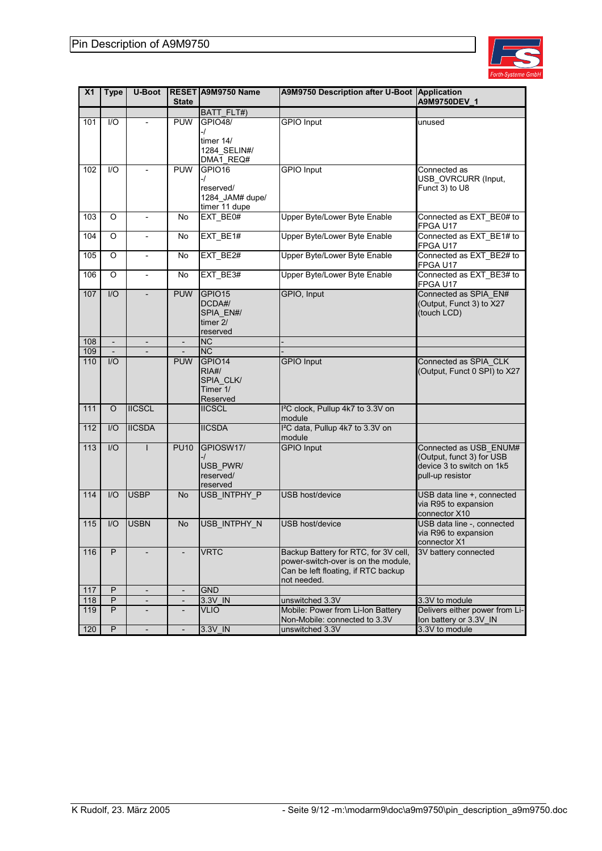

| X <sub>1</sub> | <b>Type</b>              | <b>U-Boot</b>            | <b>State</b>             | RESET A9M9750 Name                                             | <b>A9M9750 Description after U-Boot</b>                                                                                           | Application<br>A9M9750DEV_1                                                                          |
|----------------|--------------------------|--------------------------|--------------------------|----------------------------------------------------------------|-----------------------------------------------------------------------------------------------------------------------------------|------------------------------------------------------------------------------------------------------|
|                |                          |                          |                          | BATT_FLT#)                                                     |                                                                                                                                   |                                                                                                      |
| 101            | I/O                      |                          | <b>PUW</b>               | <b>GPIO48/</b><br>-/<br>timer 14/<br>1284_SELIN#/<br>DMA1_REQ# | <b>GPIO</b> Input                                                                                                                 | unused                                                                                               |
| 102            | 1/O                      |                          | <b>PUW</b>               | GPIO16<br>-/<br>reserved/<br>1284_JAM# dupe/<br>timer 11 dupe  | <b>GPIO</b> Input                                                                                                                 | Connected as<br>USB_OVRCURR (Input,<br>Funct 3) to U8                                                |
| 103            | O                        | $\frac{1}{2}$            | No                       | EXT_BE0#                                                       | Upper Byte/Lower Byte Enable                                                                                                      | Connected as EXT_BE0# to<br>FPGA U17                                                                 |
| 104            | O                        | $\overline{a}$           | No                       | EXT_BE1#                                                       | Upper Byte/Lower Byte Enable                                                                                                      | Connected as EXT_BE1# to<br>FPGA U17                                                                 |
| 105            | O                        | $\frac{1}{2}$            | No                       | EXT BE2#                                                       | <b>Upper Byte/Lower Byte Enable</b>                                                                                               | Connected as EXT_BE2# to<br>FPGA U17                                                                 |
| 106            | O                        | $\overline{\phantom{a}}$ | No                       | EXT_BE3#                                                       | Upper Byte/Lower Byte Enable                                                                                                      | Connected as EXT_BE3# to<br>FPGA U17                                                                 |
| 107            | I/O                      |                          | <b>PUW</b>               | GPIO15<br>DCDA#/<br>SPIA_EN#/<br>timer 2/<br>reserved          | GPIO, Input                                                                                                                       | Connected as SPIA EN#<br>(Output, Funct 3) to X27<br>(touch LCD)                                     |
| 108            | $\overline{\phantom{a}}$ | $\overline{\phantom{a}}$ | $\blacksquare$           | <b>NC</b>                                                      |                                                                                                                                   |                                                                                                      |
| 109            |                          | ÷,                       |                          | <b>NC</b>                                                      |                                                                                                                                   |                                                                                                      |
| 110            | 1/O                      |                          | <b>PUW</b>               | GPIO14<br>RIA#/<br>SPIA_CLK/<br>Timer 1/<br>Reserved           | <b>GPIO</b> Input                                                                                                                 | Connected as SPIA_CLK<br>(Output, Funct 0 SPI) to X27                                                |
| 111            | $\circ$                  | <b>IICSCL</b>            |                          | <b>IICSCL</b>                                                  | I <sup>2</sup> C clock, Pullup 4k7 to 3.3V on<br>module                                                                           |                                                                                                      |
| 112            | I/O                      | <b>IICSDA</b>            |                          | <b>IICSDA</b>                                                  | I <sup>2</sup> C data, Pullup 4k7 to 3.3V on<br>module                                                                            |                                                                                                      |
| 113            | 1/O                      |                          | <b>PU10</b>              | GPIOSW17/<br>-/<br>USB_PWR/<br>reserved/<br>reserved           | <b>GPIO</b> Input                                                                                                                 | Connected as USB ENUM#<br>(Output, funct 3) for USB<br>device 3 to switch on 1k5<br>pull-up resistor |
| 114            | 1/O                      | <b>USBP</b>              | No.                      | USB INTPHY P                                                   | USB host/device                                                                                                                   | USB data line +, connected<br>via R95 to expansion<br>connector X10                                  |
| 115            | I/O                      | <b>USBN</b>              | <b>No</b>                | USB_INTPHY_N                                                   | USB host/device                                                                                                                   | USB data line -, connected<br>via R96 to expansion<br>connector X1                                   |
| 116            | P                        |                          |                          | <b>VRTC</b>                                                    | Backup Battery for RTC, for 3V cell,<br>power-switch-over is on the module,<br>Can be left floating, if RTC backup<br>not needed. | 3V battery connected                                                                                 |
| 117            | P                        | $\overline{\phantom{a}}$ | $\overline{\phantom{a}}$ | <b>GND</b>                                                     |                                                                                                                                   |                                                                                                      |
| 118            | P                        | $\overline{\phantom{a}}$ | $\overline{\phantom{a}}$ | 3.3V IN                                                        | unswitched 3.3V                                                                                                                   | 3.3V to module                                                                                       |
| 119            | P                        |                          |                          | <b>VLIO</b>                                                    | Mobile: Power from Li-Ion Battery<br>Non-Mobile: connected to 3.3V                                                                | Delivers either power from Li-<br>Ion battery or 3.3V_IN                                             |
| 120            | $\sf P$                  |                          |                          | 3.3V_IN                                                        | unswitched 3.3V                                                                                                                   | 3.3V to module                                                                                       |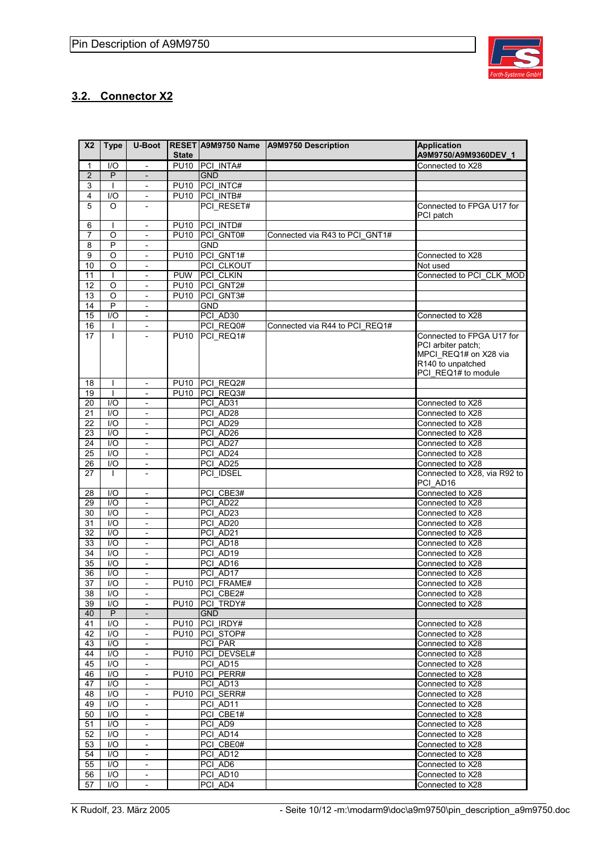

### **3.2. Connector X2**

| X <sub>2</sub> | <b>Type</b>             | <b>U-Boot</b>                                            |                  |                      | RESET A9M9750 Name   A9M9750 Description | <b>Application</b>                   |
|----------------|-------------------------|----------------------------------------------------------|------------------|----------------------|------------------------------------------|--------------------------------------|
|                |                         |                                                          | <b>State</b>     |                      |                                          | A9M9750/A9M9360DEV 1                 |
| $\mathbf{1}$   | 1/O                     | $\mathbf{r}$                                             | <b>PU10</b>      | <b>PCI INTA#</b>     |                                          | Connected to X28                     |
| $\overline{2}$ | P                       | $\qquad \qquad \blacksquare$                             |                  | <b>GND</b>           |                                          |                                      |
| 3              | $\mathbf{I}$            | $\overline{\phantom{a}}$                                 | <b>PU10</b>      | PCI INTC#            |                                          |                                      |
| $\overline{4}$ | I/O                     | $\mathbf{r}$                                             | <b>PU10</b>      | PCI INTB#            |                                          |                                      |
| 5              | O                       | $\overline{\phantom{a}}$                                 |                  | PCI_RESET#           |                                          | Connected to FPGA U17 for            |
|                |                         |                                                          |                  |                      |                                          | PCI patch                            |
| 6              |                         | $\overline{\phantom{a}}$                                 | P <sub>U10</sub> | PCI INTD#            |                                          |                                      |
| 7              | O                       | $\overline{\phantom{a}}$                                 | <b>PU10</b>      | PCI GNT0#            | Connected via R43 to PCI GNT1#           |                                      |
| 8              | P                       | $\overline{\phantom{a}}$                                 |                  | <b>GND</b>           |                                          |                                      |
| 9              | O                       | $\overline{\phantom{a}}$                                 | <b>PU10</b>      | PCI GNT1#            |                                          | Connected to X28                     |
| 10             | O                       | $\overline{\phantom{a}}$                                 |                  | PCI CLKOUT           |                                          | Not used                             |
| 11             | T                       | $\overline{\phantom{a}}$                                 | <b>PUW</b>       | PCI CLKIN            |                                          | Connected to PCI_CLK_MOD             |
| 12             | $\circ$                 | $\overline{\phantom{a}}$                                 | <b>PU10</b>      | PCI GNT2#            |                                          |                                      |
| 13             | $\circ$                 | $\overline{\phantom{a}}$                                 | <b>PU10</b>      | PCI_GNT3#            |                                          |                                      |
| 14             | P                       | $\overline{a}$                                           |                  | <b>GND</b>           |                                          |                                      |
| 15             | 1/O                     | $\overline{\phantom{a}}$                                 |                  | PCI AD30             |                                          | Connected to X28                     |
| 16             |                         | $\overline{\phantom{a}}$                                 |                  | PCI REQ0#            | Connected via R44 to PCI REQ1#           |                                      |
| 17             | L                       | $\overline{\phantom{0}}$                                 | <b>PU10</b>      | PCI_REQ1#            |                                          | Connected to FPGA U17 for            |
|                |                         |                                                          |                  |                      |                                          | PCI arbiter patch;                   |
|                |                         |                                                          |                  |                      |                                          | MPCI_REQ1# on X28 via                |
|                |                         |                                                          |                  |                      |                                          | R140 to unpatched                    |
|                |                         |                                                          |                  |                      |                                          | PCI REQ1# to module                  |
| 18             |                         | $\overline{\phantom{a}}$                                 | <b>PU10</b>      | PCI REQ2#            |                                          |                                      |
| 19             |                         | $\overline{\phantom{a}}$                                 | <b>PU10</b>      | PCI REQ3#            |                                          |                                      |
| 20             | 1/O                     | $\overline{\phantom{a}}$                                 |                  | PCI AD31             |                                          | Connected to X28                     |
| 21             | I/O                     | $\overline{\phantom{a}}$                                 |                  | PCI AD28             |                                          | Connected to X28                     |
| 22             | 1/O                     | $\blacksquare$                                           |                  | PCI AD29             |                                          | Connected to X28                     |
| 23             | $\overline{1/O}$        | $\overline{\phantom{0}}$                                 |                  | PCI AD26             |                                          | Connected to X28                     |
| 24             | I/O                     | $\overline{\phantom{a}}$                                 |                  | PCI AD27             |                                          | Connected to X28                     |
| 25             | 1/O                     | $\blacksquare$                                           |                  | PCI AD24             |                                          | Connected to X28                     |
| 26             | 1/O                     | $\overline{\phantom{a}}$                                 |                  | PCI AD25             |                                          | Connected to X28                     |
| 27             | $\mathbf{I}$            | $\frac{1}{2}$                                            |                  | PCI_IDSEL            |                                          | Connected to X28, via R92 to         |
|                |                         |                                                          |                  |                      |                                          | PCI_AD16                             |
| 28             | 1/O                     | $\mathbf{r}$                                             |                  | PCI CBE3#            |                                          | Connected to X28                     |
| 29             | I/O                     | $\overline{\phantom{a}}$                                 |                  | PCI AD22             |                                          | Connected to X28                     |
| 30             | 1/O                     | $\qquad \qquad \blacksquare$                             |                  | PCI AD23             |                                          | Connected to X28                     |
| 31             | 1/O                     | $\overline{\phantom{a}}$                                 |                  | PCI AD20             |                                          | Connected to X28                     |
| 32             | I/O                     |                                                          |                  | PCI AD21             |                                          | Connected to X28                     |
| 33             | $\overline{1}$          | $\overline{\phantom{a}}$<br>$\qquad \qquad \blacksquare$ |                  | PCI AD18             |                                          | Connected to X28                     |
| 34             | $\overline{1/O}$        | $\overline{\phantom{a}}$                                 |                  | PCI AD19             |                                          | Connected to X28                     |
|                |                         |                                                          |                  |                      |                                          |                                      |
| 35             | I/O                     | $\overline{\phantom{a}}$                                 |                  | PCI_AD16<br>PCI AD17 |                                          | Connected to X28<br>Connected to X28 |
| 36             | 1/O                     | $\qquad \qquad \blacksquare$                             |                  |                      |                                          |                                      |
| 37             | $\overline{1/O}$        | $\overline{\phantom{a}}$                                 | <b>PU10</b>      | PCI FRAME#           |                                          | Connected to X28                     |
| 38             | I/O                     |                                                          |                  | PCI CBE2#            |                                          | Connected to X28                     |
| 39             | I/O                     | $\overline{\phantom{0}}$                                 |                  | PU10 PCI TRDY#       |                                          | Connected to X28                     |
| 40             | P                       | $\overline{\phantom{a}}$                                 |                  | <b>GND</b>           |                                          |                                      |
| 41             | $\mathsf{I}/\mathsf{O}$ | $\overline{\phantom{a}}$                                 | <b>PU10</b>      | PCI IRDY#            |                                          | Connected to X28                     |
| 42             | I/O                     | $\overline{\phantom{a}}$                                 |                  | PU10 PCI STOP#       |                                          | Connected to X28                     |
| 43             | I/O                     | $\overline{\phantom{a}}$                                 |                  | PCI PAR              |                                          | Connected to X28                     |
| 44             | $\mathsf{I}/\mathsf{O}$ | $\overline{\phantom{a}}$                                 | <b>PU10</b>      | PCI DEVSEL#          |                                          | Connected to X28                     |
| 45             | 1/O                     | $\overline{\phantom{a}}$                                 |                  | PCI AD15             |                                          | Connected to X28                     |
| 46             | $\mathsf{I}/\mathsf{O}$ | $\overline{\phantom{a}}$                                 | <b>PU10</b>      | PCI_PERR#            |                                          | Connected to X28                     |
| 47             | I/O                     | $\overline{\phantom{a}}$                                 |                  | PCI AD13             |                                          | Connected to X28                     |
| 48             | I/O                     | $\frac{1}{2}$                                            | <b>PU10</b>      | PCI SERR#            |                                          | Connected to X28                     |
| 49             | I/O                     | $\overline{\phantom{a}}$                                 |                  | PCI AD11             |                                          | Connected to X28                     |
| 50             | I/O                     | $\blacksquare$                                           |                  | PCI_CBE1#            |                                          | Connected to X28                     |
| 51             | I/O                     | $\overline{\phantom{a}}$                                 |                  | PCI AD9              |                                          | Connected to X28                     |
| 52             | $\mathsf{I}/\mathsf{O}$ | $\overline{\phantom{a}}$                                 |                  | PCI AD14             |                                          | Connected to X28                     |
| 53             | I/O                     | $\overline{\phantom{a}}$                                 |                  | PCI CBE0#            |                                          | Connected to X28                     |
| 54             | I/O                     | $\overline{\phantom{a}}$                                 |                  | PCI AD12             |                                          | Connected to X28                     |
| 55             | $\mathsf{I}/\mathsf{O}$ | $\overline{\phantom{a}}$                                 |                  | PCI_AD6              |                                          | Connected to X28                     |
| 56             | 1/O                     | $\overline{\phantom{a}}$                                 |                  | PCI AD10             |                                          | Connected to X28                     |
| 57             | $\mathsf{I}/\mathsf{O}$ | $\overline{\phantom{a}}$                                 |                  | PCI AD4              |                                          | Connected to X28                     |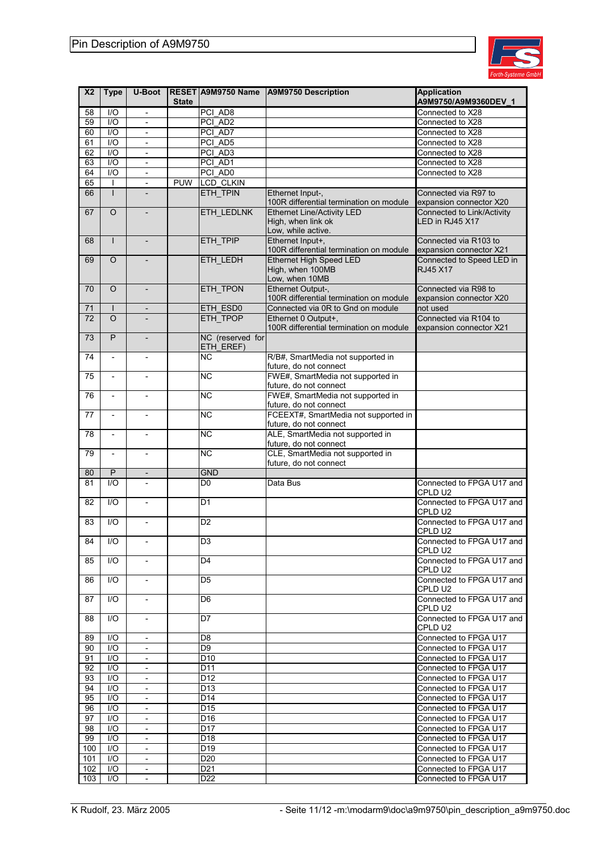

| X <sub>2</sub> | <b>Type</b>              | <b>U-Boot</b>                   |              | RESET A9M9750 Name     | <b>A9M9750 Description</b>                                                    | <b>Application</b>                               |
|----------------|--------------------------|---------------------------------|--------------|------------------------|-------------------------------------------------------------------------------|--------------------------------------------------|
|                |                          |                                 | <b>State</b> |                        |                                                                               | A9M9750/A9M9360DEV_1                             |
| 58             | 1/O                      | $\overline{\phantom{a}}$        |              | PCI_AD8                |                                                                               | Connected to X28                                 |
| 59             | I/O                      | $\overline{\phantom{a}}$        |              | PCI AD2                |                                                                               | Connected to X28                                 |
| 60             | $\overline{1/O}$         |                                 |              | PCI AD7                |                                                                               | Connected to X28                                 |
| 61             | $\overline{1/O}$         | $\overline{\phantom{a}}$        |              | PCI AD5                |                                                                               | Connected to X28                                 |
| 62             | 1/O                      | $\overline{\phantom{a}}$        |              | PCI_AD3                |                                                                               | Connected to X28                                 |
| 63             | $\overline{1/O}$         | $\overline{\phantom{m}}$        |              | PCI AD1                |                                                                               | Connected to X28                                 |
| 64             | $\overline{1/O}$         | $\overline{\phantom{a}}$        |              | PCI AD0                |                                                                               | Connected to X28                                 |
| 65             |                          | $\frac{1}{2}$                   | <b>PUW</b>   | LCD_CLKIN              |                                                                               |                                                  |
| 66             |                          |                                 |              | ETH_TPIN               | Ethernet Input-,<br>100R differential termination on module                   | Connected via R97 to<br>expansion connector X20  |
| 67             | $\circ$                  | $\overline{\phantom{0}}$        |              | <b>ETH LEDLNK</b>      | <b>Ethernet Line/Activity LED</b><br>High, when link ok<br>Low, while active. | Connected to Link/Activity<br>LED in RJ45 X17    |
| 68             | T                        | $\overline{a}$                  |              | ETH_TPIP               | Ethernet Input+,<br>100R differential termination on module                   | Connected via R103 to<br>expansion connector X21 |
| 69             | O                        |                                 |              | ETH_LEDH               | <b>Ethernet High Speed LED</b><br>High, when 100MB<br>Low, when 10MB          | Connected to Speed LED in<br>RJ45 X17            |
| 70             | $\Omega$                 | $\overline{a}$                  |              | ETH_TPON               | Ethernet Output-,<br>100R differential termination on module                  | Connected via R98 to<br>expansion connector X20  |
| 71             |                          | $\overline{\phantom{a}}$        |              | ETH ESD0               | Connected via 0R to Gnd on module                                             | not used                                         |
| 72             | $\overline{O}$           | $\overline{a}$                  |              | ETH TPOP               | Ethernet 0 Output+,                                                           | Connected via R104 to                            |
| 73             | P                        | $\overline{\phantom{a}}$        |              | NC (reserved for       | 100R differential termination on module                                       | expansion connector X21                          |
| 74             |                          |                                 |              | ETH EREF)<br><b>NC</b> | R/B#, SmartMedia not supported in                                             |                                                  |
|                |                          |                                 |              |                        | future, do not connect                                                        |                                                  |
| 75             | $\overline{a}$           | $\overline{\phantom{a}}$        |              | <b>NC</b>              | FWE#, SmartMedia not supported in<br>future, do not connect                   |                                                  |
| 76             | $\frac{1}{2}$            | $\overline{\phantom{a}}$        |              | <b>NC</b>              | FWE#, SmartMedia not supported in<br>future, do not connect                   |                                                  |
| 77             | $\frac{1}{2}$            | $\frac{1}{2}$                   |              | <b>NC</b>              | FCEEXT#, SmartMedia not supported in<br>future, do not connect                |                                                  |
| 78             | $\overline{\phantom{a}}$ | $\overline{a}$                  |              | $\overline{NC}$        | ALE, SmartMedia not supported in                                              |                                                  |
| 79             | $\overline{a}$           |                                 |              | <b>NC</b>              | future, do not connect<br>CLE, SmartMedia not supported in                    |                                                  |
| 80             | P                        |                                 |              | <b>GND</b>             | future, do not connect                                                        |                                                  |
| 81             | 1/O                      | $\overline{a}$<br>$\frac{1}{2}$ |              | D <sub>0</sub>         | Data Bus                                                                      | Connected to FPGA U17 and                        |
|                |                          |                                 |              |                        |                                                                               | CPLD U2                                          |
| 82             | 1/O                      | $\overline{a}$                  |              | D <sub>1</sub>         |                                                                               | Connected to FPGA U17 and<br>CPLD U2             |
| 83             | 1/O                      | $\overline{\phantom{a}}$        |              | D2                     |                                                                               | Connected to FPGA U17 and<br>CPLD U2             |
| 84             | I/O                      | $\overline{\phantom{a}}$        |              | D3                     |                                                                               | Connected to FPGA U17 and<br>CPLD U2             |
| 85             | 1/O                      | $\overline{\phantom{a}}$        |              | D4                     |                                                                               | Connected to FPGA U17 and<br>CPLD U2             |
| 86             | 1/O                      | $\overline{\phantom{a}}$        |              | D5                     |                                                                               | Connected to FPGA U17 and                        |
| 87             | 1/O                      |                                 |              | D6                     |                                                                               | CPLD U2<br>Connected to FPGA U17 and             |
| 88             | 1/O                      | $\overline{\phantom{a}}$        |              | D7                     |                                                                               | CPLD U2<br>Connected to FPGA U17 and             |
|                |                          |                                 |              |                        |                                                                               | CPLD U2<br>Connected to FPGA U17                 |
| 89             | I/O<br>I/O               | $\overline{\phantom{a}}$        |              | D8<br>D9               |                                                                               |                                                  |
| 90<br>91       | 1/O                      | $\equiv$                        |              | D <sub>10</sub>        |                                                                               | Connected to FPGA U17<br>Connected to FPGA U17   |
| 92             | I/O                      | -                               |              | D11                    |                                                                               | Connected to FPGA U17                            |
| 93             | I/O                      | $\overline{a}$                  |              | D <sub>12</sub>        |                                                                               | Connected to FPGA U17                            |
| 94             | 1/O                      | $\overline{\phantom{a}}$        |              | D <sub>13</sub>        |                                                                               | Connected to FPGA U17                            |
| 95             | I/O                      | $\overline{\phantom{a}}$        |              | D14                    |                                                                               | Connected to FPGA U17                            |
| 96             | $\overline{1/O}$         | $\overline{\phantom{a}}$        |              | $\overline{D15}$       |                                                                               | Connected to FPGA U17                            |
| 97             | 1/O                      | $\overline{\phantom{a}}$        |              | D <sub>16</sub>        |                                                                               | Connected to FPGA U17                            |
| 98             | I/O                      | $\overline{\phantom{a}}$        |              | D17                    |                                                                               | Connected to FPGA U17                            |
| 99             | 1/O                      | $\overline{\phantom{a}}$        |              | D <sub>18</sub>        |                                                                               | Connected to FPGA U17                            |
| 100            | 1/O                      | $\overline{\phantom{a}}$        |              | D <sub>19</sub>        |                                                                               | Connected to FPGA U17                            |
| 101            | 1/O                      | $\overline{\phantom{a}}$        |              | D <sub>20</sub>        |                                                                               | Connected to FPGA U17                            |
| 102            | 1/O                      | $\overline{\phantom{a}}$        |              | D <sub>21</sub>        |                                                                               | Connected to FPGA U17                            |
| 103            | 1/O                      | $\overline{\phantom{a}}$        |              | D <sub>22</sub>        |                                                                               | Connected to FPGA U17                            |